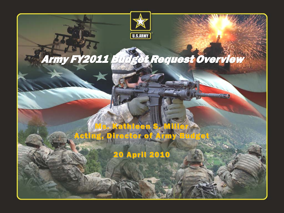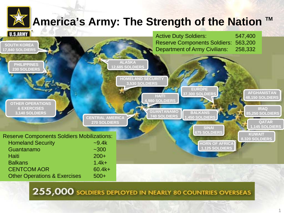## **America's Army: The Strength of the Nation ™**



255,000 SOLDIERS DEPLOYED IN NEARLY 80 COUNTRIES OVERSEAS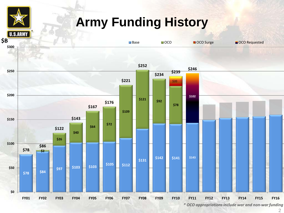## **Army Funding History**



*\* OCO appropriations include war and non-war funding*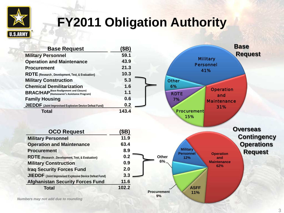

# **FY2011 Obligation Authority**

| <b>Base Request</b>                                     | (\$B) | <b>Base</b>                                                        |
|---------------------------------------------------------|-------|--------------------------------------------------------------------|
| <b>Military Personnel</b>                               | 59.1  | <b>Request</b>                                                     |
| <b>Operation and Maintenance</b>                        | 43.9  | <b>Military</b>                                                    |
| <b>Procurement</b>                                      | 21.3  | <b>Personnel</b><br>41%                                            |
| <b>RDTE</b> (Research, Development, Test, & Evaluation) | 10.3  |                                                                    |
| <b>Military Construction</b>                            | 5.3   | <b>Other</b>                                                       |
| <b>Chemical Demilitarization</b>                        | 1.6   | 6%                                                                 |
| <b>BRAC/HAP</b> (Homeowner's Assistance Program)        | 1.1   | <b>Operation</b><br><b>RDTE</b><br>and                             |
| <b>Family Housing</b>                                   | 0.6   | 7%<br><b>Maintenance</b>                                           |
| JIEDDF (Joint Improvised Explosive Device Defeat Fund)  | 0.2   | 31%                                                                |
| <b>Total</b>                                            | 143.4 | <b>Procurement</b>                                                 |
| <b>OCO Request</b>                                      | (\$B) | <b>Overseas</b>                                                    |
| <b>Military Personnel</b>                               | 11.9  | <b>Contingency</b>                                                 |
| <b>Operation and Maintenance</b>                        | 63.4  | <b>Operations</b>                                                  |
| <b>Procurement</b>                                      | 8.9   | <b>Military</b><br><b>Request</b>                                  |
| RDTE (Research, Development, Test, & Evaluation)        | 0.2   | <b>Operation</b><br><b>Personnel</b><br><b>Other</b><br>12%<br>and |
| <b>Military Construction</b>                            | 0.9   | 6%<br><b>Maintenance</b><br>62%                                    |
| <b>Iraq Security Forces Fund</b>                        | 2.0   |                                                                    |
| JIEDDF (Joint Improvised Explosive Device Defeat Fund)  | 3.3   |                                                                    |
| <b>Afghanistan Security Forces Fund</b>                 | 11.6  |                                                                    |
| <b>Total</b>                                            | 102.2 | <b>ASFF</b>                                                        |
|                                                         |       | <b>Procurement</b><br>11%<br>9%                                    |

*Numbers may not add due to rounding*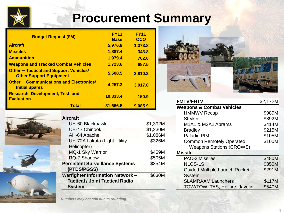

| <b>Budget Request (\$M)</b>                                                     | <b>FY11</b><br><b>Base</b> | <b>FY11</b><br><b>OCO</b> |
|---------------------------------------------------------------------------------|----------------------------|---------------------------|
| <b>Aircraft</b>                                                                 | 5,976.9                    | 1,373.8                   |
| <b>Missiles</b>                                                                 | 1,887.4                    | 343.8                     |
| <b>Ammunition</b>                                                               | 1,979.4                    | 702.6                     |
| <b>Weapons and Tracked Combat Vehicles</b>                                      | 1,723.6                    | 687.5                     |
| <b>Other - Tactical and Support Vehicles/</b><br><b>Other Support Equipment</b> | 5,508.5                    | 2,810.3                   |
| <b>Other – Communications and Electronics/</b><br><b>Initial Spares</b>         | 4,257.3                    | 3,017.0                   |
| <b>Research, Development, Test, and</b><br><b>Evaluation</b>                    | 10,333.4                   | 150.9                     |
| <b>Total</b>                                                                    | 31,666.5                   | 9,085.9                   |







| Aircraft                               |          |
|----------------------------------------|----------|
| UH-60 Blackhawk                        | \$1,392M |
| CH-47 Chinook                          | \$1,230M |
| AH-64 Apache                           | \$1,086M |
| UH-72A Lakota (Light Utility           | \$326M   |
| Helicopter)                            |          |
| <b>MQ-1 Sky Warrior</b>                | \$459M   |
| RQ-7 Shadow                            | \$505M   |
| <b>Persistent Surveillance Systems</b> | \$354M   |
| (PTDS/PGSS)                            |          |
| <b>Warfighter Information Network-</b> | \$630M   |
| <b>Tactical / Joint Tactical Radio</b> |          |
| <b>System</b>                          |          |



| <b>FMTV/FHTV</b>                                                     | \$2,172M |
|----------------------------------------------------------------------|----------|
| <b>Weapons &amp; Combat Vehicles</b>                                 |          |
| <b>HMMWV Recap</b>                                                   | \$989M   |
| <b>Stryker</b>                                                       | \$892M   |
| M <sub>1</sub> A <sub>1</sub> & M <sub>2</sub> A <sub>2</sub> Abrams | \$414M   |
| <b>Bradley</b>                                                       | \$215M   |
| <b>Paladin PIM</b>                                                   | \$105M   |
| <b>Common Remotely Operated</b>                                      | \$100M   |
| <b>Weapons Stations (CROWS)</b>                                      |          |
| <b>Missile</b>                                                       |          |
| <b>PAC-3 Missiles</b>                                                | \$480M   |
| <b>NLOS-LS</b>                                                       | \$350M   |
| <b>Guided Multiple Launch Rocket</b>                                 | \$291M   |
| <b>System</b>                                                        |          |
| <b>SLAMRAAM Launchers</b>                                            | \$117M   |
| <b>TOW/TOW ITAS, Hellfire, Javelin</b>                               | \$540M   |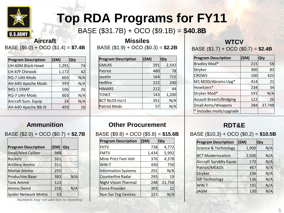

# **Top RDA Programs for FY11**

BASE (\$31.7B) + OCO (\$9.1B) = **\$40.8B**

### BASE (\$6.0) + OCO (\$1.4) = \$7.4B | BASE (\$1.9) + OCO (\$0.3) = \$2.2B | BASE (\$1.7) + OCO (\$0.7) = \$2.4B

| <b>Program Description</b>   | (\$M) | Qty |
|------------------------------|-------|-----|
| <b>UH-60M Black Hawk</b>     | 1,291 | 74  |
| <b>CH-47F Chinook</b>        | 1,172 | 42  |
| RQ-7 UAS Mods                | 603   | N/A |
| AH-64D Apache Mods           | 593   | N/A |
| MQ-1 ERMP                    | 506   | 26  |
| RQ-7 UAV Mods                | 603   | N/A |
| Aircraft Surv. Equip         | 24    | N/A |
| <b>AH-64D Apache Blk III</b> | 493   | 16  |

**Aircraft Missiles Missiles WTCV** 

| <b>Program Description</b> | (\$M) | <b>Qty</b> |
|----------------------------|-------|------------|
| <b>GMLRS</b>               | 291   | 2,592      |
| Patriot                    | 480   | 78         |
| Javelin                    | 164   | 715        |
| <b>Hellfire</b>            | 222   | 240        |
| <b>HIMARS</b>              | 212   | 44         |
| TOW2                       | 143   | 1,200      |
| <b>BCT NLOS Incr1</b>      | 351   | N/A        |
| Patriot Mods               | 57    |            |

| <b>Program Description</b>  | (\$M) Qty |     |
|-----------------------------|-----------|-----|
| Small/Med Caliber           | 988       |     |
| Rockets                     | 321       |     |
| <b>Artillery Ammo</b>       | 311       |     |
| <b>Mortar Ammo</b>          | 255       |     |
| <b>Production Base</b>      | 382       | N/A |
| <b>Tank Ammo</b>            | 123       |     |
| Ammo Demil                  | 216       | N/A |
| <b>Spider Network Mntns</b> | 53        |     |

*Numbers may not add due to rounding*

### **Ammunition Other Procurement RDT&E**

| <b>Program Description</b>  | (\$M) | <b>Qty</b> |
|-----------------------------|-------|------------|
| <b>FHTV</b>                 | 738   | 4,772      |
| FMTV                        | 1,434 | 5,992      |
| Mine Prtct Fam Veh          | 376   | 4,378      |
| WIN-T                       | 430   | 750        |
| Information Systems         | 201   | N/A        |
| Counterfire Radar           | 295   | 19         |
| <b>Night Vision Thermal</b> | 248   | 21,758     |
| <b>Force Provider</b>       | 303   | 22         |
| <b>Non Sys Tng Devices</b>  | 325   |            |

| <b>Program Description</b>     | (\$M) | <b>Qty</b> |
|--------------------------------|-------|------------|
| <b>Bradley Mod*</b>            | 215   | 58         |
| Stryker                        | 300   | 83         |
| <b>CROWS</b>                   | 100   | 425        |
| M1 MOD/Abrams Upg*             | 414   | 21         |
| Howitzers*                     | 234   | 34         |
| Stryker Mod*                   | 591   | N/A        |
| <b>Assault Breach/Bridging</b> | 122   | 26         |
| <b>Small Arms/Weapons</b>      | 284   | 37,748     |
| * Includes mods/upgrade        |       |            |

BASE (\$2.0) + OCO (\$0.7) = \$2.7B  $\vert$  BASE (\$9.8) + OCO (\$5.8) = \$15.6B  $\vert$  BASE (\$10.3) + OCO (\$0.2) = \$10.5B

| <b>Program Description</b>      | (\$M) | Qty |
|---------------------------------|-------|-----|
| <b>Science &amp; Technology</b> | 1,900 | N/A |
| <b>BCT Modernization</b>        | 2,500 | N/A |
| <b>Aircraft Survblty Equip</b>  | 172   | N/A |
| Patriot/MEADS                   | 467   | N/A |
| <b>Stryker</b>                  | 136   | N/A |
| <b>ISR Technology</b>           | 136   | N/A |
| WIN-T                           | 191   | N/A |
| JAGM                            | 130   |     |